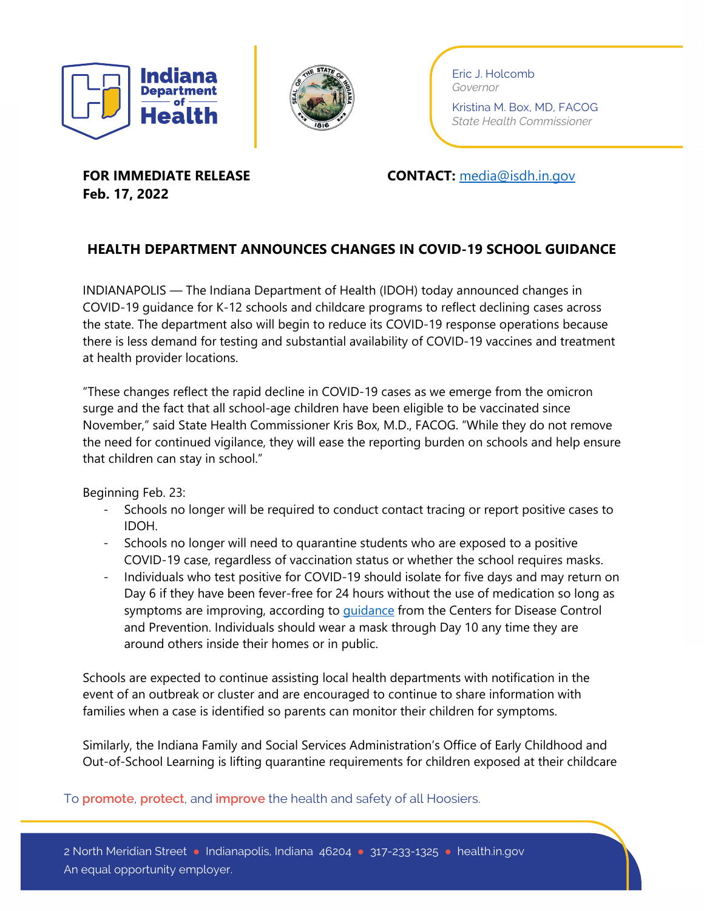



Eric J. Holcomb *Governor*

Kristina M. Box, MD, FACOG *State Health Commissioner*

**Feb. 17, 2022**

**FOR IMMEDIATE RELEASE CONTACT:** [media@isdh.in.gov](mailto:media@isdh.in.gov)

## **HEALTH DEPARTMENT ANNOUNCES CHANGES IN COVID-19 SCHOOL GUIDANCE**

INDIANAPOLIS — The Indiana Department of Health (IDOH) today announced changes in COVID-19 guidance for K-12 schools and childcare programs to reflect declining cases across the state. The department also will begin to reduce its COVID-19 response operations because there is less demand for testing and substantial availability of COVID-19 vaccines and treatment at health provider locations.

"These changes reflect the rapid decline in COVID-19 cases as we emerge from the omicron surge and the fact that all school-age children have been eligible to be vaccinated since November," said State Health Commissioner Kris Box, M.D., FACOG. "While they do not remove the need for continued vigilance, they will ease the reporting burden on schools and help ensure that children can stay in school."

Beginning Feb. 23:

- Schools no longer will be required to conduct contact tracing or report positive cases to IDOH.
- Schools no longer will need to quarantine students who are exposed to a positive COVID-19 case, regardless of vaccination status or whether the school requires masks.
- Individuals who test positive for COVID-19 should isolate for five days and may return on Day 6 if they have been fever-free for 24 hours without the use of medication so long as symptoms are improving, according to quidance from the Centers for Disease Control and Prevention. Individuals should wear a mask through Day 10 any time they are around others inside their homes or in public.

Schools are expected to continue assisting local health departments with notification in the event of an outbreak or cluster and are encouraged to continue to share information with families when a case is identified so parents can monitor their children for symptoms.

Similarly, the Indiana Family and Social Services Administration's Office of Early Childhood and Out-of-School Learning is lifting quarantine requirements for children exposed at their childcare

To **promote**, **protect**, and **improve** the health and safety of all Hoosiers.

2 North Meridian Street ● Indianapolis, Indiana 46204 ● 317-233-1325 ● health.in.gov An equal opportunity employer.